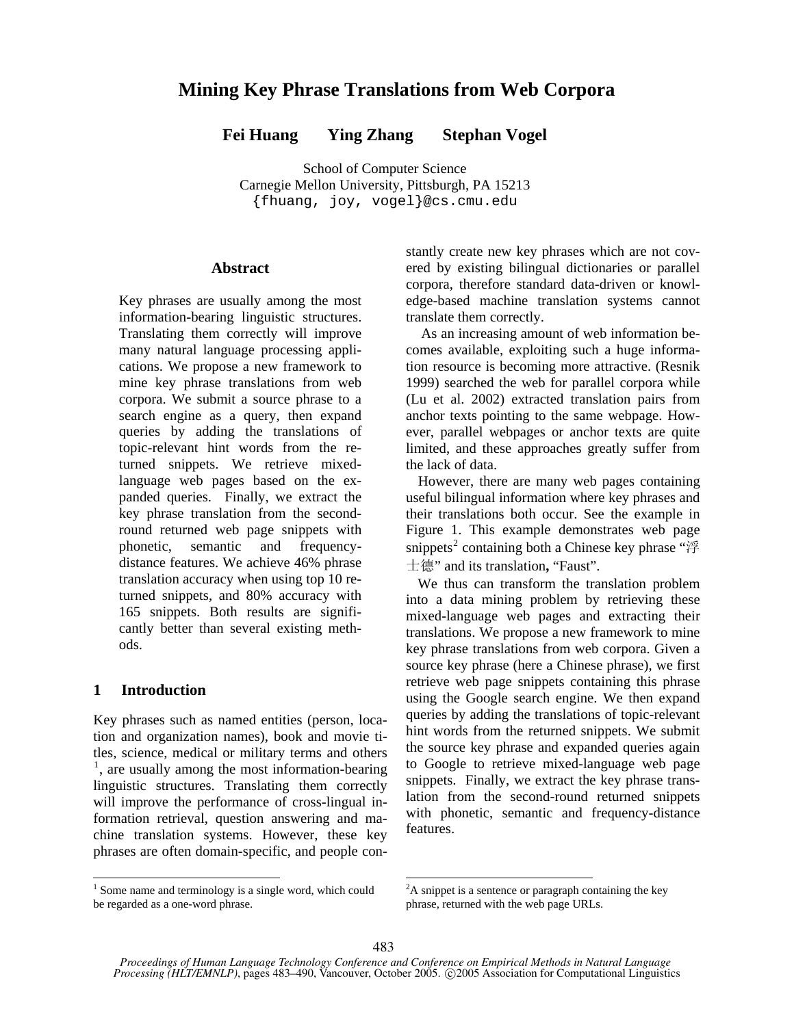# **Mining Key Phrase Translations from Web Corpora**

**Fei Huang Ying Zhang Stephan Vogel** 

School of Computer Science Carnegie Mellon University, Pittsburgh, PA 15213 {fhuang, joy, vogel}@cs.cmu.edu

### **Abstract**

Key phrases are usually among the most information-bearing linguistic structures. Translating them correctly will improve many natural language processing applications. We propose a new framework to mine key phrase translations from web corpora. We submit a source phrase to a search engine as a query, then expand queries by adding the translations of topic-relevant hint words from the returned snippets. We retrieve mixedlanguage web pages based on the expanded queries. Finally, we extract the key phrase translation from the secondround returned web page snippets with phonetic, semantic and frequencydistance features. We achieve 46% phrase translation accuracy when using top 10 returned snippets, and 80% accuracy with 165 snippets. Both results are significantly better than several existing methods.

## **1 Introduction**

Key phrases such as named entities (person, location and organization names), book and movie titles, science, medical or military terms and others <sup>1</sup>, are usually among the most information-bearing linguistic structures. Translating them correctly will improve the performance of cross-lingual information retrieval, question answering and machine translation systems. However, these key phrases are often domain-specific, and people con-

 $\frac{1}{1}$  $1$  Some name and terminology is a single word, which could be regarded as a one-word phrase.

stantly create new key phrases which are not covered by existing bilingual dictionaries or parallel corpora, therefore standard data-driven or knowledge-based machine translation systems cannot translate them correctly.

 As an increasing amount of web information becomes available, exploiting such a huge information resource is becoming more attractive. (Resnik 1999) searched the web for parallel corpora while (Lu et al. 2002) extracted translation pairs from anchor texts pointing to the same webpage. However, parallel webpages or anchor texts are quite limited, and these approaches greatly suffer from the lack of data.

However, there are many web pages containing useful bilingual information where key phrases and their translations both occur. See the example in Figure 1. This example demonstrates web page snippets<sup>2</sup> containing both a Chinese key phrase " $\mathfrak{F}$ 士德" and its translation**,** "Faust".

We thus can transform the translation problem into a data mining problem by retrieving these mixed-language web pages and extracting their translations. We propose a new framework to mine key phrase translations from web corpora. Given a source key phrase (here a Chinese phrase), we first retrieve web page snippets containing this phrase using the Google search engine. We then expand queries by adding the translations of topic-relevant hint words from the returned snippets. We submit the source key phrase and expanded queries again to Google to retrieve mixed-language web page snippets. Finally, we extract the key phrase translation from the second-round returned snippets with phonetic, semantic and frequency-distance features.

 ${}^{2}$ A snippet is a sentence or paragraph containing the key phrase, returned with the web page URLs.

*Proceedings of Human Language Technology Conference and Conference on Empirical Methods in Natural Language Processing (HLT/EMNLP)*, pages 483–490, Vancouver, October 2005. © 2005 Association for Computational Linguistics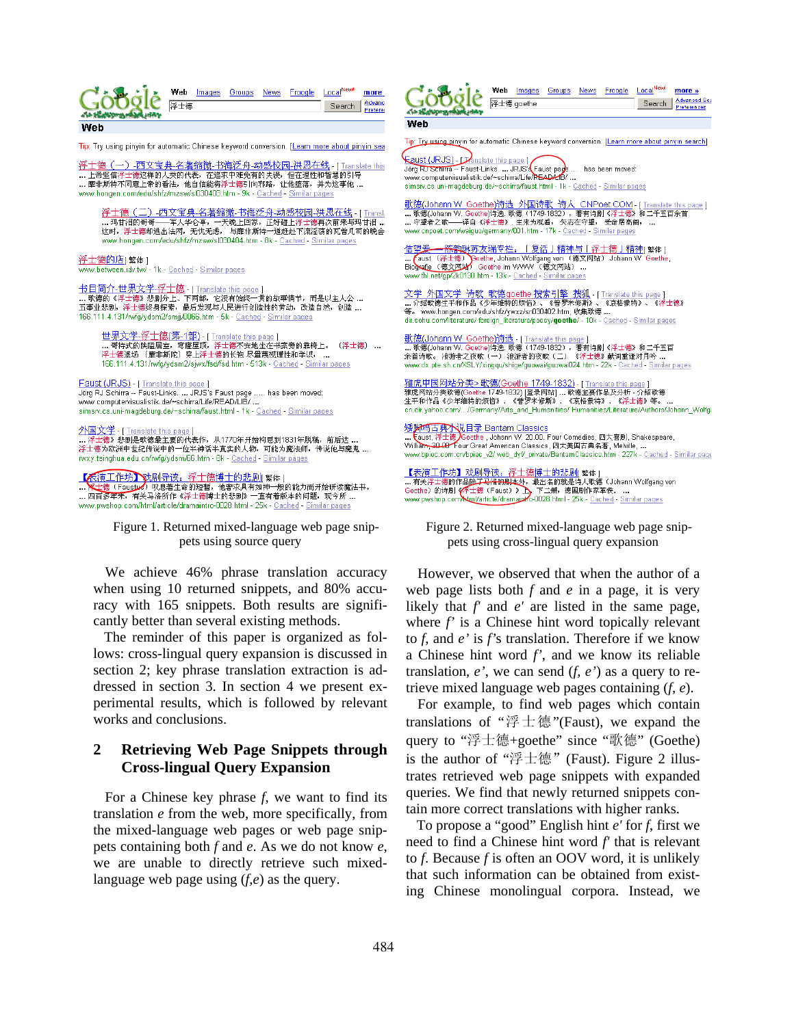| Advanc<br>浮士德<br>Search<br>Preferer<br>Web<br>Tip: Try using pinyin for automatic Chinese keyword conversion. [Learn more about pinyin sea<br>浮士德(一)-西文宝典-名著缩微-书海泛舟-动感校园-洪恩在线 - [ Translate this<br>上帝坚信浮士德这样的人类的代表,在追求中难免有的失误,但在理性和智慧的引导<br>靡非斯特不同意上帝的看法,他自信能将浮士德引向邪路,让他堕落,并为这事他<br>www.hongen.com/edu/shfz/mzsw/sl030403.htm - 9k - Cached - Similar pages |                                                                  | web       | <b>Images</b> | Groups | <b>News</b> | <b>Froogle</b> | Local'' T                                     | more |
|--------------------------------------------------------------------------------------------------------------------------------------------------------------------------------------------------------------------------------------------------------------------------------------------------------------------------------------------------------------|------------------------------------------------------------------|-----------|---------------|--------|-------------|----------------|-----------------------------------------------|------|
|                                                                                                                                                                                                                                                                                                                                                              |                                                                  |           |               |        |             |                |                                               |      |
|                                                                                                                                                                                                                                                                                                                                                              |                                                                  |           |               |        |             |                |                                               |      |
|                                                                                                                                                                                                                                                                                                                                                              |                                                                  |           |               |        |             |                |                                               |      |
|                                                                                                                                                                                                                                                                                                                                                              |                                                                  |           |               |        |             |                |                                               |      |
|                                                                                                                                                                                                                                                                                                                                                              |                                                                  |           |               |        |             |                |                                               |      |
|                                                                                                                                                                                                                                                                                                                                                              |                                                                  |           |               |        |             |                |                                               |      |
|                                                                                                                                                                                                                                                                                                                                                              |                                                                  |           |               |        |             |                |                                               |      |
|                                                                                                                                                                                                                                                                                                                                                              | 浮士德(二)-西文宝典-名著缩微-书海泛舟-动感校园-洪恩在线 - [ Transl:<br>アプリエル とけいろん エナーアー | $= 1.001$ |               |        |             |                | 计字母数 计可可编码 计字母 计字母数 计分类 计分类程序 化二苯基苯胺 医牙冠 电电子线 |      |

....玛甘泪的哥哥——军人华仑亭,一天晚上回家,正好碰上浮士德再次前来与玛甘泪....<br>这时,浮士德却逃出法网,无忧无虑, 与靡非斯特一道赶赴下流淫荡的瓦普几司的晚会 www.hongen.com/edu/shfz/mzsw/sl030404.htm - 8k - Cached - Similar pages

浮士德的店[繁体] ww.between.idv.tw/ - 1k - <u>Cached</u> - <u>Similar pages</u>

<mark>书目简介-世界文学-浮士德</mark> -[Translate this page]<br>… 歌德的《浮士德》悲剧分上、下两部, 它没有始终一贯的故事情节, 而是以主人公 …<br>五事业悲剧, 浮士德终身探索, 最后发现与人民进行创造性的劳动, 改造自然, 创造 … 166.111.4.131/rwfg/ydsm2/smjj/0066.htm - 5k - Cached - Similar pages

<mark>世界文学.浮土德(第-1部)</mark> - [ Translate this page ]<br>.**.. 哥特式的陕隘居室, 穹窿屋顶,** 浮士德不安地坐在书案旁的靠椅上。(浮士德) ...<br>浮土德退场 ( 雕非斯陀) 穿上浮士德的长袍 尽量蔑视理性和学识, ...<br>166.111.4.131/m**/d/vdsm2/siw//fsd/fsd.htm - 513k -** Cached - Similar pages 166.111.4.131/twfg/ydsm2/sjwx/fsd/fsd.htm - 513k - Cached - Similar pages

Faust (JRJS) - [ Translate this pag Jörg RJ Schirra -- Faust-Links. ... JRJS's Faust page ..... has been moved: www.computervisualistik.de/~schirra/Life/READ/LIB/ ... simsiv.cs.uni-magdeburg.de/~schirra/faust.html - 1k - Cached - Similar pages

<mark>外国文学</mark> - [ Translate this page ]<br>... 浮土德》悲剧是歌德最主要的代表作,从1770年开始构思到1831年脱稿,前后达 . wxy.tsinghua.edu.cn/wfg/ydsm/66.htm - 8k - Cached - Similar pages

<mark>【太演工作坊】戏剧导读: 浮士德博士的悲剧</mark>[繁体]<br>…<mark>采士德(Fausby) 叹息著生命的短暂, 他奢求具有</mark>如神一般的能力而开始研读魔法书。 ... 四百多年来, 有关马洛所作《浮士德博士的悲剧》一直有着版本的问题, 现今所 ... www.pwshop.com/html/article/dramaintro-0028.html - 25k - <u>Cached</u> - <u>Similar pages</u>

|  | Figure 1. Returned mixed-language web page snip- |  |  |
|--|--------------------------------------------------|--|--|
|  | pets using source query                          |  |  |

We achieve 46% phrase translation accuracy when using 10 returned snippets, and 80% accuracy with 165 snippets. Both results are significantly better than several existing methods.

 The reminder of this paper is organized as follows: cross-lingual query expansion is discussed in section 2; key phrase translation extraction is addressed in section 3. In section 4 we present experimental results, which is followed by relevant works and conclusions.

# **2 Retrieving Web Page Snippets through Cross-lingual Query Expansion**

For a Chinese key phrase *f*, we want to find its translation *e* from the web, more specifically, from the mixed-language web pages or web page snippets containing both *f* and *e*. As we do not know *e*, we are unable to directly retrieve such mixedlanguage web page using (*f,e*) as the query.

|                                                                                                  | Web |            |  | Images Groups News Froogle LocalNew! | more »                             |
|--------------------------------------------------------------------------------------------------|-----|------------|--|--------------------------------------|------------------------------------|
|                                                                                                  |     | 浮士德 goethe |  | Search                               | <b>Advanced Sea</b><br>Preferences |
| Web                                                                                              |     |            |  |                                      |                                    |
| Tip: Try using pinyin for automatic Chinese keyword conversion. [Learn more about pinyin search] |     |            |  |                                      |                                    |

Suist (JRJS) - Panslate this page ]<br>brg RJ Schiffa - Faust-Links. ... JRJS' Faust page .... has been moved: ww.computervisualistik.de/~schirra/Life/READAHS/ ... imsiv.cs.uni-maqdeburg.de/~schirra/faust.html - 1k - Cached - Similar pages

<u>(德(Johann W. Goethe)诗选 外国诗歌 诗人 CNPoet.COM - [Translate this r</u><br>|歌德(Johann W. Goethe)诗选 歌德 (1749-1832) ,著有诗剧 《浮士德》和二千五百余首 page ] ……本来的Sammon.com/page.wide-compage.wide-compage.wide-compage.wide-compage.wide-compage.wide-compage.w<br>www.cnpoet.com/waiguo/germany/001.htm - 17k - <u>Cached</u> - S<u>imilar pages</u>

<u>信望爱——陈豁琳苏友瑞专栏,「复活」精神与「浮士德」精神</u>[繁体]<br>... <mark>(</mark>aust (浮士德) `Goethe, Johann Wolfgang von(德文网站)Johann W. Goethe,<br>Biogra<u>fie (德文网站)</u> Goethe im WWW (德文网站)... www.fhl.net/gp/2k0130.htm - 13k - Cached - Similar pages

<mark>文学 外国文学 诗歌 歌德goethe 搜索引擎 搜狐</mark> [ Translate this page ]<br>… 介绍歌德生平和作品《少年维特的烦恼》、《普罗米修斯》、《哀格蒙特》、《浮士德》 等。 www.hongen.com/edu/shfz/ywxz/sn030402.htm; 收集歌德 ... dir.sohu.com/literature/ foreign\_literature/poesy/goethe/ - 10k - Cached - Similar pages

<u>歌德(Johann W. Goethe)诗选</u> - [ Translate this page ]<br>...歌德(Johann W. Goethe)诗选: 歌德(1749-1832),著有诗剧《浮士德》和二千五百<br>余首诗歌。 浪游者之夜歌(一) 浪游者的夜歌(二) 《浮士德》献词重逢对月吟 .**..** www.dx.pte.sh.cn/XSLY/xingqu/shige/guowai/guowai024.htm - 22k - Cached - Similar pages

雅虎中国网站分类> 歌德(Goethe 1749-1832) - [ Ti cn.dir.yahoo.com/.../Germany/Arts\_and\_Humanities/ Humanities/Literature/Authors/Johann\_Wolfg:

矮脚鸡古典木说目录 Bantam Classics www.bpiec.com.cn/bpiec\_v2/ web\_dyf/\_private/BantamClassics.htm - 227k - Cached - Similar page

【表演工作坊】戏剧导读: 浮士德博士的悲剧[繁体] 德的作品<mark>除了马洛的剧本外,最出名的就是</mark>诗人歌德(Johann Wolfgang von

Figure 2. Returned mixed-language web page snippets using cross-lingual query expansion

However, we observed that when the author of a web page lists both *f* and *e* in a page, it is very likely that *f'* and *e'* are listed in the same page, where *f'* is a Chinese hint word topically relevant to *f*, and *e'* is *f'*s translation. Therefore if we know a Chinese hint word *f'*, and we know its reliable translation, *e'*, we can send (*f, e'*) as a query to retrieve mixed language web pages containing (*f, e*).

For example, to find web pages which contain translations of "浮士德"(Faust), we expand the query to "浮士德+goethe" since "歌德" (Goethe) is the author of "浮士德"(Faust). Figure 2 illustrates retrieved web page snippets with expanded queries. We find that newly returned snippets contain more correct translations with higher ranks.

 To propose a "good" English hint *e'* for *f*, first we need to find a Chinese hint word *f'* that is relevant to *f*. Because *f* is often an OOV word, it is unlikely that such information can be obtained from existing Chinese monolingual corpora. Instead, we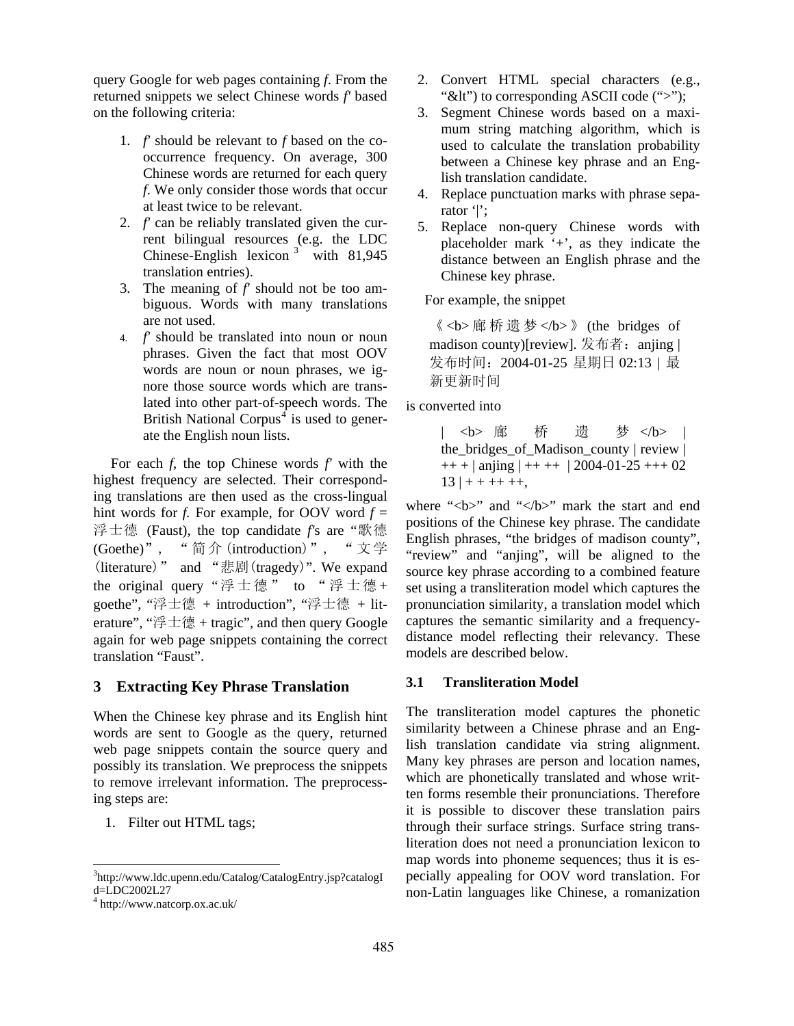query Google for web pages containing *f*. From the returned snippets we select Chinese words *f'* based on the following criteria:

- 1. *f'* should be relevant to *f* based on the cooccurrence frequency. On average, 300 Chinese words are returned for each query *f*. We only consider those words that occur at least twice to be relevant.
- 2. *f'* can be reliably translated given the current bilingual resources (e.g. the LDC Chinese-English lexicon  $3$  with 81,945 translation entries).
- 3. The meaning of *f'* should not be too ambiguous. Words with many translations are not used.
- 4. *f'* should be translated into noun or noun phrases. Given the fact that most OOV words are noun or noun phrases, we ignore those source words which are translated into other part-of-speech words. The British National Corpus<sup>4</sup> is used to generate the English noun lists.

For each *f*, the top Chinese words *f'* with the highest frequency are selected. Their corresponding translations are then used as the cross-lingual hint words for *f*. For example, for OOV word  $f =$ 浮士德 (Faust), the top candidate *f'*s are "歌德 (Goethe)", " 简 介 (introduction)", " 文 学 (literature)" and "悲剧(tragedy)". We expand the original query "浮士德" to "浮士德+ goethe", "浮士德 + introduction", "浮士德 + literature", "浮士德 + tragic", and then query Google again for web page snippets containing the correct translation "Faust".

## **3 Extracting Key Phrase Translation**

When the Chinese key phrase and its English hint words are sent to Google as the query, returned web page snippets contain the source query and possibly its translation. We preprocess the snippets to remove irrelevant information. The preprocessing steps are:

1. Filter out HTML tags;

 $\overline{a}$ 

- 2. Convert HTML special characters (e.g., " $<$ lt") to corresponding ASCII code (">");
- 3. Segment Chinese words based on a maximum string matching algorithm, which is used to calculate the translation probability between a Chinese key phrase and an English translation candidate.
- 4. Replace punctuation marks with phrase separator '|';
- 5. Replace non-query Chinese words with placeholder mark '+', as they indicate the distance between an English phrase and the Chinese key phrase.

For example, the snippet

《 <b> 廊 桥 遗 梦 </b>》 (the bridges of madison county)[review]. 发布者: anjing | 发布时间:2004-01-25 星期日 02:13 | 最 新更新时间

is converted into

| <b> 廊 桥 遗 梦 </b> | the\_bridges\_of\_Madison\_county | review |  $++$  + | anjing | + + + + | 2004-01-25 + + + 02  $13$  | + + + + + +,

where "<br/>b>" and "</b>" mark the start and end positions of the Chinese key phrase. The candidate English phrases, "the bridges of madison county", "review" and "anjing", will be aligned to the source key phrase according to a combined feature set using a transliteration model which captures the pronunciation similarity, a translation model which captures the semantic similarity and a frequencydistance model reflecting their relevancy. These models are described below.

### **3.1 Transliteration Model**

The transliteration model captures the phonetic similarity between a Chinese phrase and an English translation candidate via string alignment. Many key phrases are person and location names, which are phonetically translated and whose written forms resemble their pronunciations. Therefore it is possible to discover these translation pairs through their surface strings. Surface string transliteration does not need a pronunciation lexicon to map words into phoneme sequences; thus it is especially appealing for OOV word translation. For non-Latin languages like Chinese, a romanization

<sup>3</sup> http://www.ldc.upenn.edu/Catalog/CatalogEntry.jsp?catalogI d=LDC2002L27

<sup>4</sup> http://www.natcorp.ox.ac.uk/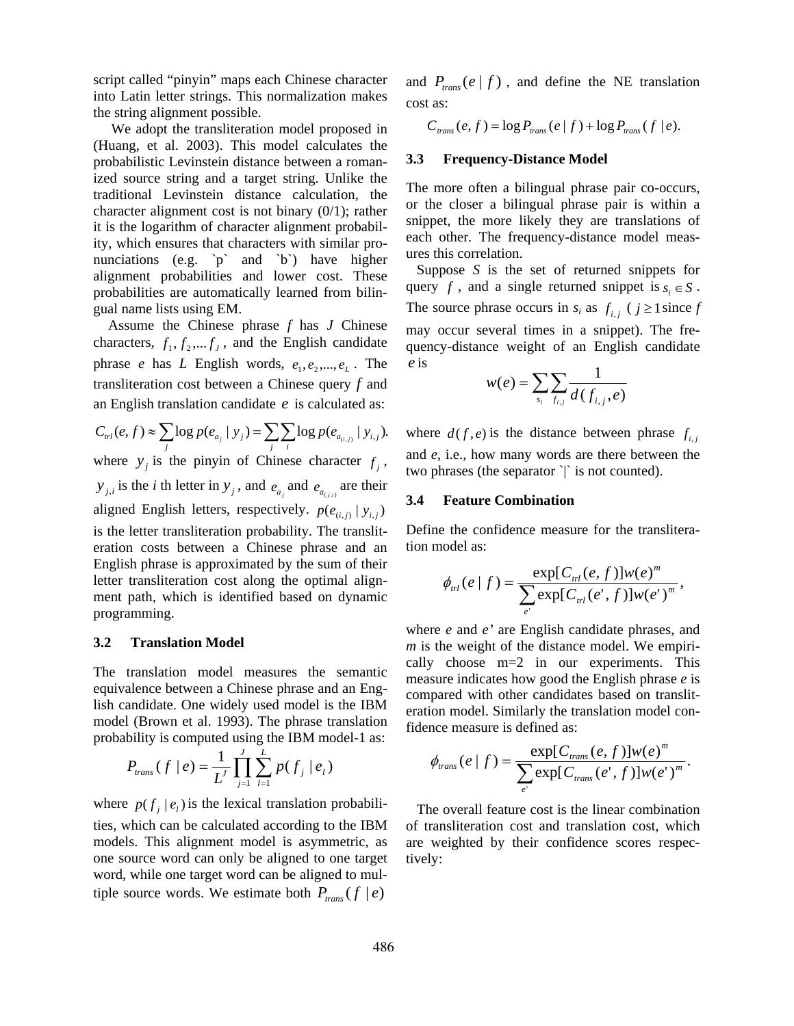script called "pinyin" maps each Chinese character into Latin letter strings. This normalization makes the string alignment possible.

 We adopt the transliteration model proposed in (Huang, et al. 2003). This model calculates the probabilistic Levinstein distance between a romanized source string and a target string. Unlike the traditional Levinstein distance calculation, the character alignment cost is not binary (0/1); rather it is the logarithm of character alignment probability, which ensures that characters with similar pronunciations (e.g. `p` and `b`) have higher alignment probabilities and lower cost. These probabilities are automatically learned from bilingual name lists using EM.

Assume the Chinese phrase *f* has *J* Chinese characters,  $f_1, f_2,..., f_j$ , and the English candidate phrase *e* has *L* English words,  $e_1, e_2, ..., e_L$ . The transliteration cost between a Chinese query  $f$  and an English translation candidate  $e$  is calculated as:

$$
C_{\text{trl}}(e, f) \approx \sum_{j} \log p(e_{a_j} | y_j) = \sum_{j} \sum_{i} \log p(e_{a_{(i,j)}} | y_{i,j}).
$$
 where  $d(f, e)$  is the distance between phrase  $f_{i,j}$  and  $e$  i.e. how many words are there between the

where  $y_j$  is the pinyin of Chinese character  $f_j$ ,  $y_{j,i}$  is the *i* th letter in  $y_j$ , and  $e_{a_j}$  and  $e_{a_{(j,i)}}$  are their aligned English letters, respectively.  $p(e_{(i,j)} | y_{i,j})$ is the letter transliteration probability. The transliteration costs between a Chinese phrase and an English phrase is approximated by the sum of their letter transliteration cost along the optimal alignment path, which is identified based on dynamic programming.

#### **3.2 Translation Model**

The translation model measures the semantic equivalence between a Chinese phrase and an English candidate. One widely used model is the IBM model (Brown et al. 1993). The phrase translation probability is computed using the IBM model-1 as:

$$
P_{trans}(f \mid e) = \frac{1}{L'} \prod_{j=1}^{J} \sum_{l=1}^{L} p(f_j \mid e_l) \qquad \phi_{trans}(e \mid f)
$$

where  $p(f_j | e_i)$  is the lexical translation probabilities, which can be calculated according to the IBM models. This alignment model is asymmetric, as one source word can only be aligned to one target word, while one target word can be aligned to multiple source words. We estimate both  $P_{trans}(f | e)$ 

and  $P_{trans}(e | f)$ , and define the NE translation cost as:

 $C_{trans}(e, f) = \log P_{trans}(e | f) + \log P_{trans}(f | e).$ 

### **3.3 Frequency-Distance Model**

The more often a bilingual phrase pair co-occurs, or the closer a bilingual phrase pair is within a snippet, the more likely they are translations of each other. The frequency-distance model measures this correlation.

 Suppose *S* is the set of returned snippets for query *f*, and a single returned snippet is  $s_i \in S$ . The source phrase occurs in  $s_i$  as  $f_{i,j}$  ( $j \ge 1$  since  $f$ may occur several times in a snippet). The frequency-distance weight of an English candidate is *e*

$$
w(e) = \sum_{s_i} \sum_{f_{i,j}} \frac{1}{d(f_{i,j}, e)}
$$

and *e*, i.e., how many words are there between the two phrases (the separator `|` is not counted).

#### **3.4 Feature Combination**

Define the confidence measure for the transliteration model as:

$$
\phi_{\scriptscriptstyle{H}}(e \mid f) = \frac{\exp[C_{\scriptscriptstyle{H}}(e, f)] w(e)^{\scriptscriptstyle{m}}}{\sum_{\scriptscriptstyle{e'}} \exp[C_{\scriptscriptstyle{H}}(e', f)] w(e')^{\scriptscriptstyle{m}}},
$$

where *e* and *e'* are English candidate phrases, and *m* is the weight of the distance model. We empirically choose m=2 in our experiments. This measure indicates how good the English phrase *e* is compared with other candidates based on transliteration model. Similarly the translation model confidence measure is defined as:

$$
\phi_{trans}(e \mid f) = \frac{\exp[C_{trans}(e, f)]w(e)^m}{\sum_{e'} \exp[C_{trans}(e', f)]w(e')^m}.
$$

 The overall feature cost is the linear combination of transliteration cost and translation cost, which are weighted by their confidence scores respectively: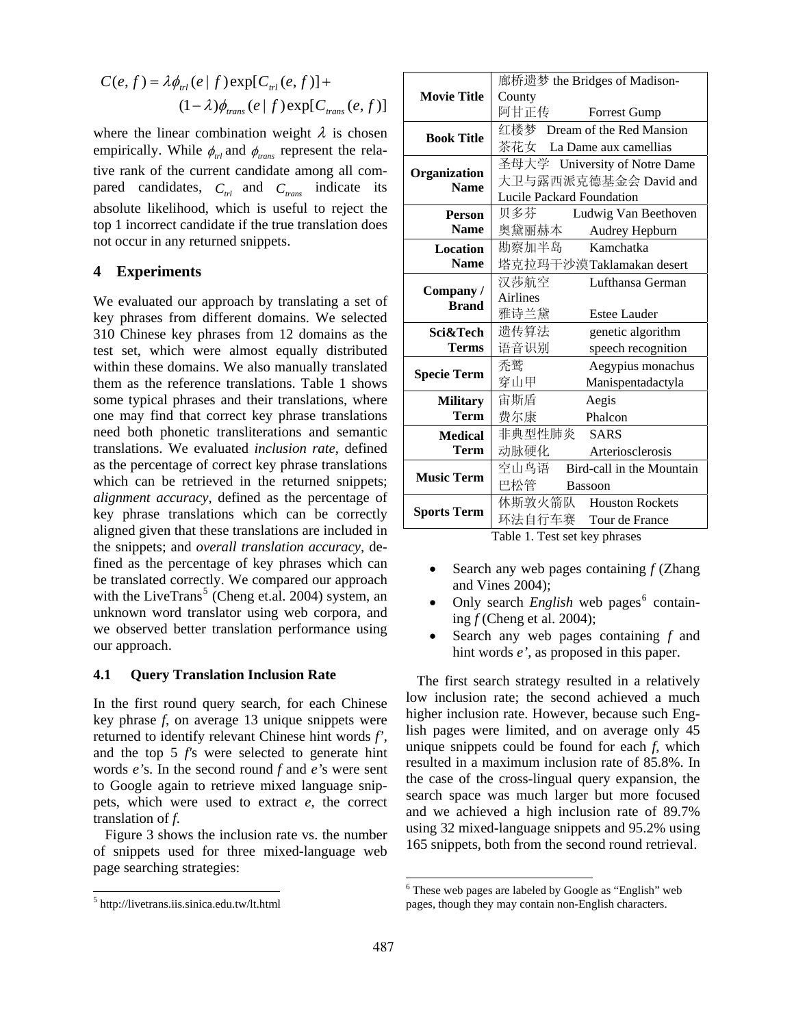$$
C(e, f) = \lambda \phi_{\text{trl}}(e | f) \exp[C_{\text{trl}}(e, f)] +
$$
  
\n
$$
(1 - \lambda) \phi_{\text{trans}}(e | f) \exp[C_{\text{trans}}(e, f)]
$$
 **Movie Title**  $\begin{array}{|c|c|}\n\hline\n\text{fftiff} \\
\text{Country} \\
\hline\n\text{fftiff} \\
\hline\n\end{array}$ 

where the linear combination weight  $\lambda$  is chosen empirically. While  $\phi_{trl}$  and  $\phi_{trans}$  represent the relative rank of the current candidate among all compared candidates,  $C_{\text{trl}}$  and  $C_{\text{trans}}$  indicate its absolute likelihood, which is useful to reject the top 1 incorrect candidate if the true translation does not occur in any returned snippets.

### **4 Experiments**

We evaluated our approach by translating a set of key phrases from different domains. We selected 310 Chinese key phrases from 12 domains as the test set, which were almost equally distributed within these domains. We also manually translated them as the reference translations. Table 1 shows some typical phrases and their translations, where one may find that correct key phrase translations need both phonetic transliterations and semantic translations. We evaluated *inclusion rate*, defined as the percentage of correct key phrase translations which can be retrieved in the returned snippets; *alignment accuracy*, defined as the percentage of key phrase translations which can be correctly aligned given that these translations are included in the snippets; and *overall translation accuracy*, defined as the percentage of key phrases which can be translated correctly. We compared our approach with the LiveTrans<sup>5</sup> (Cheng et.al. 2004) system, an unknown word translator using web corpora, and we observed better translation performance using our approach.

#### **4.1 Query Translation Inclusion Rate**

In the first round query search, for each Chinese key phrase *f*, on average 13 unique snippets were returned to identify relevant Chinese hint words *f'*, and the top 5 *f'*s were selected to generate hint words *e'*s. In the second round *f* and *e'*s were sent to Google again to retrieve mixed language snippets, which were used to extract *e*, the correct translation of *f*.

Figure 3 shows the inclusion rate vs. the number of snippets used for three mixed-language web page searching strategies:

 $\overline{\phantom{a}}$ 

|                                    | 廊桥遗梦 the Bridges of Madison-      |  |  |  |  |
|------------------------------------|-----------------------------------|--|--|--|--|
| <b>Movie Title</b>                 | County                            |  |  |  |  |
|                                    | 阿甘正传 Forrest Gump                 |  |  |  |  |
|                                    | 红楼梦 Dream of the Red Mansion      |  |  |  |  |
| <b>Book Title</b>                  | 茶花女 La Dame aux camellias         |  |  |  |  |
|                                    | 圣母大学 University of Notre Dame     |  |  |  |  |
| <b>Organization</b><br><b>Name</b> | 大卫与露西派克德基金会 David and             |  |  |  |  |
|                                    | <b>Lucile Packard Foundation</b>  |  |  |  |  |
| <b>Person</b>                      | 贝多芬<br>Ludwig Van Beethoven       |  |  |  |  |
| <b>Name</b>                        | 奥黛丽赫本<br>Audrey Hepburn           |  |  |  |  |
| <b>Location</b>                    | 勘察加半岛<br>Kamchatka                |  |  |  |  |
| <b>Name</b>                        | 塔克拉玛干沙漠Taklamakan desert          |  |  |  |  |
| Company/<br><b>Brand</b>           | 汉莎航空<br>Lufthansa German          |  |  |  |  |
|                                    | Airlines                          |  |  |  |  |
|                                    | 雅诗兰黛<br><b>Estee Lauder</b>       |  |  |  |  |
| Sci&Tech                           | 遗传算法<br>genetic algorithm         |  |  |  |  |
| <b>Terms</b>                       | 语音识别<br>speech recognition        |  |  |  |  |
| <b>Specie Term</b>                 | 禿鹫<br>Aegypius monachus           |  |  |  |  |
|                                    | 穿山甲<br>Manispentadactyla          |  |  |  |  |
| <b>Military</b>                    | 宙斯盾<br>Aegis                      |  |  |  |  |
| <b>Term</b>                        | 费尔康<br>Phalcon                    |  |  |  |  |
| <b>Medical</b>                     | 非典型性肺炎 SARS                       |  |  |  |  |
| <b>Term</b>                        | 动脉硬化<br>Arteriosclerosis          |  |  |  |  |
|                                    | 空山鸟语<br>Bird-call in the Mountain |  |  |  |  |
| <b>Music Term</b>                  | 巴松管<br><b>Bassoon</b>             |  |  |  |  |
|                                    | 休斯敦火箭队 Houston Rockets            |  |  |  |  |
| <b>Sports Term</b>                 | 环法自行车赛 Tour de France             |  |  |  |  |

Table 1. Test set key phrases

- Search any web pages containing *f* (Zhang and Vines 2004);
- Only search *English* web pages<sup>6</sup> containing *f* (Cheng et al. 2004);
- Search any web pages containing *f* and hint words *e'*, as proposed in this paper.

 The first search strategy resulted in a relatively low inclusion rate; the second achieved a much higher inclusion rate. However, because such English pages were limited, and on average only 45 unique snippets could be found for each *f*, which resulted in a maximum inclusion rate of 85.8%. In the case of the cross-lingual query expansion, the search space was much larger but more focused and we achieved a high inclusion rate of 89.7% using 32 mixed-language snippets and 95.2% using 165 snippets, both from the second round retrieval.

<sup>5</sup> http://livetrans.iis.sinica.edu.tw/lt.html

<sup>&</sup>lt;sup>6</sup> These web pages are labeled by Google as "English" web pages, though they may contain non-English characters.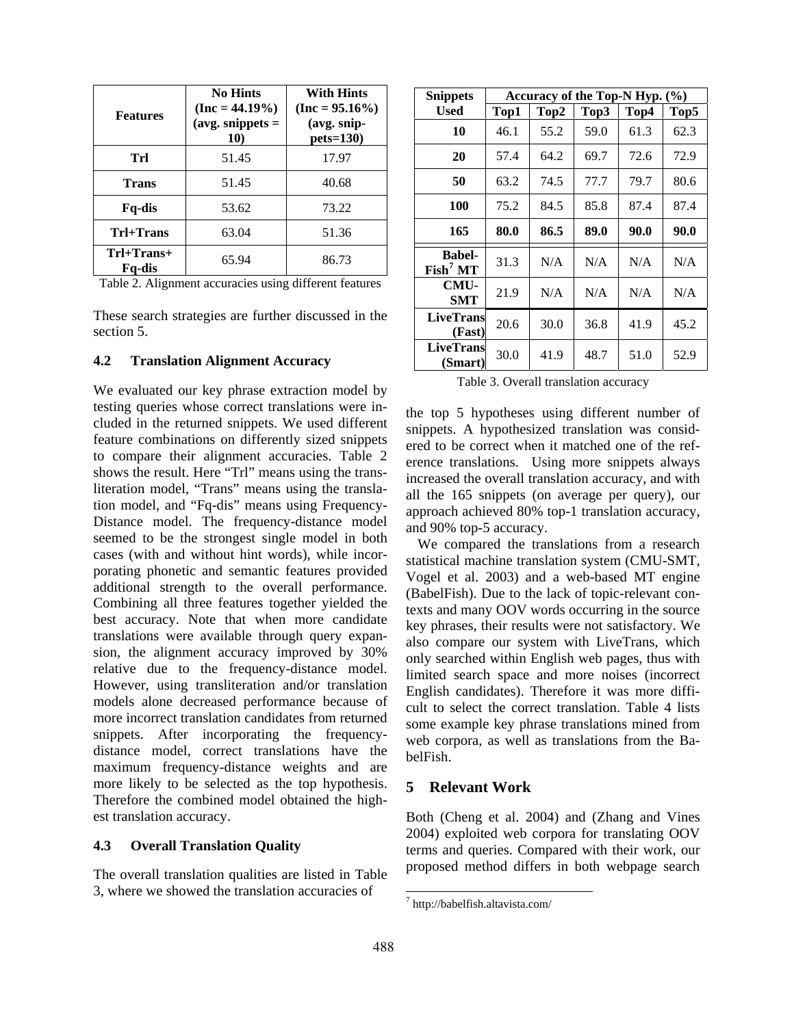| <b>Features</b>        | <b>No Hints</b><br>$(Inc = 44.19\%)$<br>(avg. snippets $=$<br>10) | <b>With Hints</b><br>$(Inc = 95.16\%)$<br>(avg. snip-<br>$pets=130$ |
|------------------------|-------------------------------------------------------------------|---------------------------------------------------------------------|
| Trl                    | 51.45                                                             | 17.97                                                               |
| <b>Trans</b>           | 51.45                                                             | 40.68                                                               |
| Fq-dis                 | 53.62                                                             | 73.22                                                               |
| Trl+Trans              | 63.04                                                             | 51.36                                                               |
| $Trl+Trans+$<br>Fq-dis | 65.94                                                             | 86.73                                                               |

Table 2. Alignment accuracies using different features

These search strategies are further discussed in the section 5.

#### **4.2 Translation Alignment Accuracy**

We evaluated our key phrase extraction model by testing queries whose correct translations were included in the returned snippets. We used different feature combinations on differently sized snippets to compare their alignment accuracies. Table 2 shows the result. Here "Trl" means using the transliteration model, "Trans" means using the translation model, and "Fq-dis" means using Frequency-Distance model. The frequency-distance model seemed to be the strongest single model in both cases (with and without hint words), while incorporating phonetic and semantic features provided additional strength to the overall performance. Combining all three features together yielded the best accuracy. Note that when more candidate translations were available through query expansion, the alignment accuracy improved by 30% relative due to the frequency-distance model. However, using transliteration and/or translation models alone decreased performance because of more incorrect translation candidates from returned snippets. After incorporating the frequencydistance model, correct translations have the maximum frequency-distance weights and are more likely to be selected as the top hypothesis. Therefore the combined model obtained the highest translation accuracy.

#### **4.3 Overall Translation Quality**

The overall translation qualities are listed in Table 3, where we showed the translation accuracies of

| <b>Snippets</b>                             | Accuracy of the Top-N Hyp.<br>$($ %) |      |      |      |      |  |
|---------------------------------------------|--------------------------------------|------|------|------|------|--|
| Used                                        | Top1                                 | Top2 | Top3 | Top4 | Top5 |  |
| 10                                          | 46.1                                 | 55.2 | 59.0 | 61.3 | 62.3 |  |
| 20                                          | 57.4                                 | 64.2 | 69.7 | 72.6 | 72.9 |  |
| 50                                          | 63.2                                 | 74.5 | 77.7 | 79.7 | 80.6 |  |
| 100                                         | 75.2                                 | 84.5 | 85.8 | 87.4 | 87.4 |  |
| 165                                         | 80.0                                 | 86.5 | 89.0 | 90.0 | 90.0 |  |
| <b>Babel-</b><br>$\text{Fish}^7 \text{ MT}$ | 31.3                                 | N/A  | N/A  | N/A  | N/A  |  |
| CMU-<br><b>SMT</b>                          | 21.9                                 | N/A  | N/A  | N/A  | N/A  |  |
| <b>LiveTrans</b><br>(Fast)                  | 20.6                                 | 30.0 | 36.8 | 41.9 | 45.2 |  |
| <b>LiveTrans</b><br>(Smart)                 | 30.0                                 | 41.9 | 48.7 | 51.0 | 52.9 |  |

Table 3. Overall translation accuracy

the top 5 hypotheses using different number of snippets. A hypothesized translation was considered to be correct when it matched one of the reference translations. Using more snippets always increased the overall translation accuracy, and with all the 165 snippets (on average per query), our approach achieved 80% top-1 translation accuracy, and 90% top-5 accuracy.

We compared the translations from a research statistical machine translation system (CMU-SMT, Vogel et al. 2003) and a web-based MT engine (BabelFish). Due to the lack of topic-relevant contexts and many OOV words occurring in the source key phrases, their results were not satisfactory. We also compare our system with LiveTrans, which only searched within English web pages, thus with limited search space and more noises (incorrect English candidates). Therefore it was more difficult to select the correct translation. Table 4 lists some example key phrase translations mined from web corpora, as well as translations from the BabelFish.

### **5 Relevant Work**

Both (Cheng et al. 2004) and (Zhang and Vines 2004) exploited web corpora for translating OOV terms and queries. Compared with their work, our proposed method differs in both webpage search

 $\overline{\phantom{a}}$ 

<sup>7</sup> http://babelfish.altavista.com/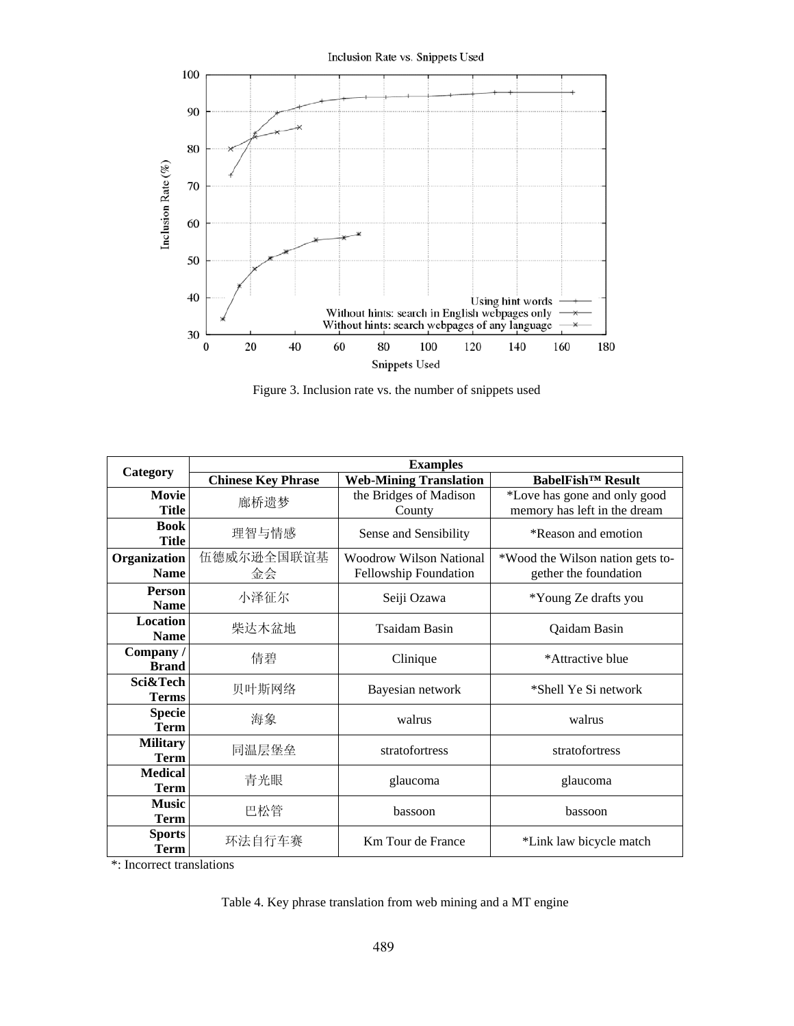Inclusion Rate vs. Snippets Used 100 90 80 Inclusion Rate (%) 70 60 50 40 Using hint words<br>Without hints: search in English webpages only<br>Without hints: search webpages of any language 30  $\boldsymbol{0}$ 20 40 60 80 100 120 180 140 160 Snippets Used

Figure 3. Inclusion rate vs. the number of snippets used

|                                |                           | <b>Examples</b>                                  |                                                              |  |  |  |
|--------------------------------|---------------------------|--------------------------------------------------|--------------------------------------------------------------|--|--|--|
| Category                       | <b>Chinese Key Phrase</b> | <b>Web-Mining Translation</b>                    | <b>BabelFish</b> <sup>™</sup> Result                         |  |  |  |
| <b>Movie</b><br><b>Title</b>   | 廊桥遗梦                      | the Bridges of Madison<br>County                 | *Love has gone and only good<br>memory has left in the dream |  |  |  |
| <b>Book</b><br><b>Title</b>    | 理智与情感                     | Sense and Sensibility                            | *Reason and emotion                                          |  |  |  |
| Organization<br><b>Name</b>    | 伍德威尔逊全国联谊基<br>金会          | Woodrow Wilson National<br>Fellowship Foundation | *Wood the Wilson nation gets to-<br>gether the foundation    |  |  |  |
| <b>Person</b><br><b>Name</b>   | 小泽征尔                      | Seiji Ozawa                                      | *Young Ze drafts you                                         |  |  |  |
| Location<br><b>Name</b>        | 柴达木盆地                     | Tsaidam Basin                                    | Qaidam Basin                                                 |  |  |  |
| Company/<br><b>Brand</b>       | 倩碧                        | Clinique                                         | *Attractive blue                                             |  |  |  |
| Sci&Tech<br><b>Terms</b>       | 贝叶斯网络                     | Bayesian network                                 | *Shell Ye Si network                                         |  |  |  |
| <b>Specie</b><br><b>Term</b>   | 海象                        | walrus                                           | walrus                                                       |  |  |  |
| <b>Military</b><br><b>Term</b> | 同温层堡垒                     | stratofortress                                   | stratofortress                                               |  |  |  |
| <b>Medical</b><br><b>Term</b>  | 青光眼                       | glaucoma                                         | glaucoma                                                     |  |  |  |
| <b>Music</b><br><b>Term</b>    | 巴松管                       | bassoon                                          | bassoon                                                      |  |  |  |
| <b>Sports</b><br><b>Term</b>   | 环法自行车赛                    | Km Tour de France                                | *Link law bicycle match                                      |  |  |  |

\*: Incorrect translations

# Table 4. Key phrase translation from web mining and a MT engine